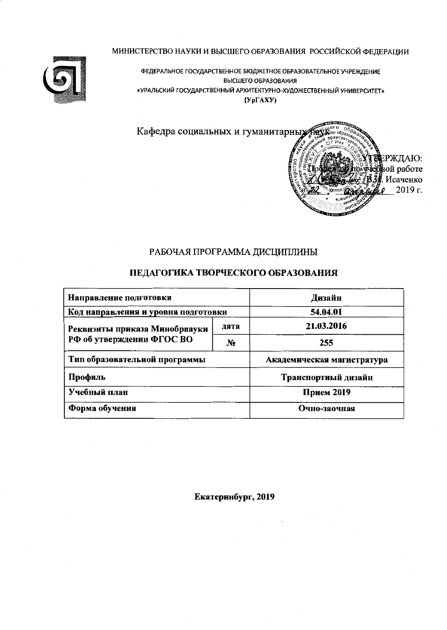

ФЕДЕРАЛЬНОЕ ГОСУДАРСТВЕННОЕ БЮДЖЕТНОЕ ОБРАЗОВАТЕЛЬНОЕ УЧРЕЖДЕНИЕ ВЫСШЕГО ОБРАЗОВАНИЯ «УРАЛЬСКИЙ ГОСУДАРСТВЕННЫЙ АРХИТЕКТУРНО-ХУДОЖЕСТВЕННЫЙ УНИВЕРСИТЕТ»  $(Yp\Gamma A X Y)$ 



## РАБОЧАЯ ПРОГРАММА ДИСЦИПЛИНЫ

## ПЕДАГОГИКА ТВОРЧЕСКОГО ОБРАЗОВАНИЯ

| Направление подготовки              | Дизайн         |                            |  |  |
|-------------------------------------|----------------|----------------------------|--|--|
| Код направления и уровня подготовки | 54.04.01       |                            |  |  |
| Реквизиты приказа Минобрнауки       | дата           | 21.03.2016                 |  |  |
| РФ об утверждении ФГОС ВО           | N <sub>2</sub> | 255                        |  |  |
| Тип образовательной программы       |                | Академическая магистратура |  |  |
| Профиль                             |                | Транспортиый дизайн        |  |  |
| Учебный план                        | Прием 2019     |                            |  |  |
| Форма обучения                      | Очно-заочная   |                            |  |  |

Екатеринбург, 2019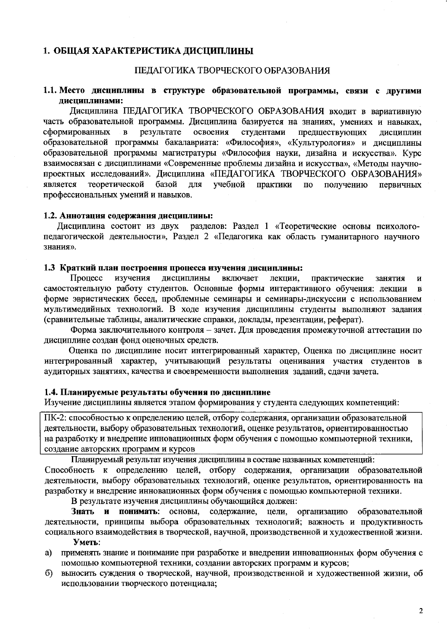#### 1. ОБЩАЯ ХАРАКТЕРИСТИКА ДИСЦИПЛИНЫ

#### ПЕДАГОГИКА ТВОРЧЕСКОГО ОБРАЗОВАНИЯ

#### 1.1. Место дисциплины в структуре образовательной программы, связи с другими дисциплинами:

Дисциплина ПЕДАГОГИКА ТВОРЧЕСКОГО ОБРАЗОВАНИЯ входит в вариативную часть образовательной программы. Дисциплина базируется на знаниях, умениях и навыках, сформированных  $\mathbf{B}$ результате освоения студентами предшествующих дисциплин образовательной программы бакалавриата: «Философия», «Культурология» и лисциплины образовательной программы магистратуры «Философия науки, дизайна и искусства». Курс взаимосвязан с дисциплинами «Современные проблемы дизайна и искусства», «Методы научнопроектных исследований». Дисциплина «ПЕДАГОГИКА ТВОРЧЕСКОГО ОБРАЗОВАНИЯ» теоретической учебной является базой для практики  $\Pi$ <sup>O</sup> получению первичных профессиональных умений и навыков.

#### 1.2. Аннотация содержания дисциплины:

Дисциплина состоит из двух разделов: Раздел 1 «Теоретические основы психологопедагогической деятельности», Раздел 2 «Педагогика как область гуманитарного научного знания».

#### 1.3 Краткий план построення процесса изучения дисциплины:

Процесс изучения дисциплины включает лекции, практические занятия И самостоятельную работу студентов. Основные формы интерактивного обучения: лекции  $\overline{\mathbf{B}}$ форме эвристических бесед, проблемные семинары и семинары-дискуссии с использованием мультимедийных технологий. В ходе изучения дисциплины студенты выполняют задания (сравнительные таблицы, аналитические справки, доклады, презентации, реферат).

Форма заключительного контроля - зачет. Для проведения промежуточной аттестации по дисциплине создан фонд оценочных средств.

Оценка по дисциплине носит интегрированный характер, Оценка по дисциплине носит интегрированный характер, учитывающий результаты оценивания участия студентов в аудиторных занятиях, качества и своевременности выполнения заданий, сдачи зачета.

#### 1.4. Планируемые результаты обучения по дисциплине

Изучение дисциплины является этапом формирования у студента следующих компетенций:

ПК-2: способностью к определению целей, отбору содержания, организации образовательной деятельности, выбору образовательных технологий, оценке результатов, ориентированностью на разработку и внедрение инновационных форм обучения с помощью компьютерной техники, создание авторских программ и курсов

Планируемый результат изучения дисциплины в составе названных компетенций: Способность к определению целей, отбору содержания, организации образовательной деятельности, выбору образовательных технологий, оценке результатов, ориентированность на разработку и внедрение инновационных форм обучения с помощью компьютерной техники.

В результате изучения дисциплины обучающийся должен:

Знать и понимать: основы, содержание, цели, организацию образовательной деятельности, принципы выбора образовательных технологий; важность и продуктивность социального взаимодействия в творческой, научной, производственной и художественной жизни. Уметь:

- применять знание и понимание при разработке и внедрении инновационных форм обучения с a) помощью компьютерной техники, создании авторских программ и курсов;
- выносить суждения о творческой, научной, производственной и художественной жизни, об  $\Omega$ использовании творческого потенциала;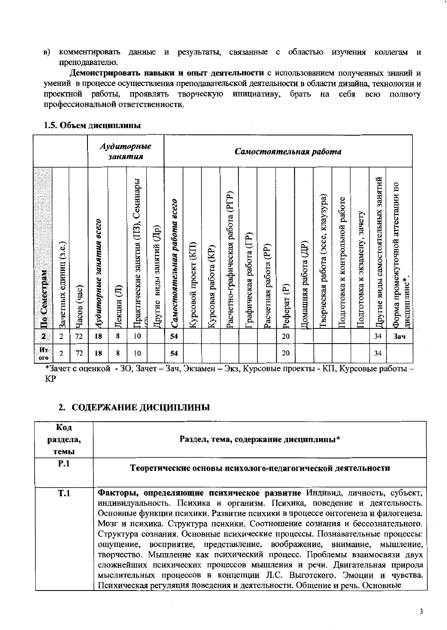в) комментировать данные и результаты, связанные с областью изучения коллегам и преподавателю.

Демонстрировать навыки и опыт деятельности с использованием полученных знаний и умений в процессе осуществления преподавательской деятельности в области дизайна, технологии и проектной работы, проявлять творческую инициативу, брать на себя всю полноту профессиональной ответственности.

#### 1.5. Объем дисциплины

|                  |                           |               |                                           | занятия     | Аудиторные                             |                             | Самостоятельная работа       |                          |                         |                                   |                           |                          |              |                                      |                                             |                                          |                                     |                                     |                                                   |
|------------------|---------------------------|---------------|-------------------------------------------|-------------|----------------------------------------|-----------------------------|------------------------------|--------------------------|-------------------------|-----------------------------------|---------------------------|--------------------------|--------------|--------------------------------------|---------------------------------------------|------------------------------------------|-------------------------------------|-------------------------------------|---------------------------------------------------|
| По Семестрам     | (3.e.)<br>Зачетных единиц | (4a)<br>Часов | $\overline{6}$ cezo<br>Аудиторные занятия | €<br>Лекции | занятия (ПЗ), Семинары<br>Практические | виды занятий (Др)<br>Другие | Самостоятельная работа всего | (KII)<br>Курсовой проект | (KP)<br>Курсовая работа | Расчетно-графическая работа (PГP) | работа (ГР)<br>рафическая | (PP)<br>Расчетная работа | ව<br>Реферат | $(\mathbb{H})$<br>работа<br>Домашняя | клаузура)<br>(эссе,<br>работа<br>Гворческая | работе<br>контрольной<br>×<br>Подготовка | зачету<br>экзамену,<br>Подготовка к | Другие виды самостоятельных занятий | Форма промежуточной аттестации по<br>дисциплине*. |
| $\overline{2}$   | $\overline{2}$            | 72            | 18                                        | 8           | 10                                     |                             | 54                           |                          |                         |                                   |                           |                          | 20           |                                      |                                             |                                          |                                     | 34                                  | <b>Зач</b>                                        |
| Ит<br><b>OLO</b> | $\overline{c}$            | 72            | 18                                        | 8           | 10                                     |                             | 54                           |                          |                         |                                   |                           |                          | 20           |                                      |                                             |                                          |                                     | 34                                  |                                                   |

\*Зачет с оценкой - ЗО, Зачет - Зач, Экзамен - Экз, Курсовые проекты - КП, Курсовые работы -**KP** 

## 2. СОДЕРЖАНИЕ ДИСЦИПЛИНЫ

| Код<br>раздела,<br>темы | Раздел, тема, содержание дисциплины*                                                                                                                                                                                                                                                                                                                                                                                                                                                                                                                                                                                                                                                                                                                                                  |
|-------------------------|---------------------------------------------------------------------------------------------------------------------------------------------------------------------------------------------------------------------------------------------------------------------------------------------------------------------------------------------------------------------------------------------------------------------------------------------------------------------------------------------------------------------------------------------------------------------------------------------------------------------------------------------------------------------------------------------------------------------------------------------------------------------------------------|
| <b>P.1</b>              | Теоретические основы психолого-педагогической деятельности                                                                                                                                                                                                                                                                                                                                                                                                                                                                                                                                                                                                                                                                                                                            |
| T.1                     | Факторы, определяющие психическое развитие Индивид, личность, субъект,<br>индивидуальность. Психика и организм. Психика, поведение и деятельность.<br>Основные функции психики. Развитие психики в процессе онтогенеза и филогенеза.<br>Мозг и психика. Структура психики. Соотношение сознания и бессознательного.<br>Структура сознания. Основные психические процессы. Познавательные процессы:<br>ощущение, восприятие, представление, воображение, внимание, мышление,<br>творчество. Мышление как психический процесс. Проблемы взаимосвязи двух<br>сложнейших психических процессов мышления и речи. Двигательная природа<br>мыслительных процессов в концепции Л.С. Выготского. Эмоции и чувства.<br>Психическая регуляция поведения и деятельности. Общение и речь. Основные |

3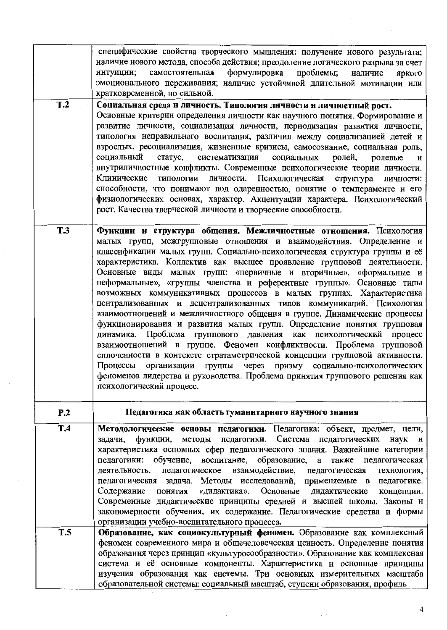|            | специфические свойства творческого мышления: получение нового результата;<br>наличие нового метода, способа действия; преодоление логического разрыва за счет<br>самостоятельная формулировка проблемы; наличие яркого<br>интуиции;<br>эмоционального переживания; наличие устойчивой длительной мотивации или<br>кратковременной, но сильной.                                                                                                                                                                                                                                                                                                                                                                                                                                                                                                                                                                                                                                                                                                                                                                                                                    |
|------------|-------------------------------------------------------------------------------------------------------------------------------------------------------------------------------------------------------------------------------------------------------------------------------------------------------------------------------------------------------------------------------------------------------------------------------------------------------------------------------------------------------------------------------------------------------------------------------------------------------------------------------------------------------------------------------------------------------------------------------------------------------------------------------------------------------------------------------------------------------------------------------------------------------------------------------------------------------------------------------------------------------------------------------------------------------------------------------------------------------------------------------------------------------------------|
| T.2        | Социальная среда н личность. Типология лнчности и личностный рост.<br>Основные критерии определения личности как научного понятия. Формирование и<br>развитие личности, социализация личности, периодизация развития личности,<br>типология неправильного воспитания, различия между социализацией детей и<br>взрослых, ресоциализация, жизненные кризисы, самосознание, социальная роль,<br>социальный<br>статус,<br>систематизация социальных<br>ролей,<br>ролевые<br>И<br>внутриличностные конфликты. Современные психологические теории личности.<br>Клинические<br>типологии личности. Психологическая<br>структура<br>личности:<br>способности, что понимают под одаренностью, понятие о темпераменте и его<br>физиологических основах, характер. Акцентуации характера. Психологический<br>рост. Качества творческой личности и творческие способности.                                                                                                                                                                                                                                                                                                    |
| <b>T.3</b> | Функции и структура общения. Межличностные отношения. Психология<br>малых групп, межгрупповые отношения и взаимодействия. Определение и<br>классификации малых групп. Социально-психологическая структура группы и её<br>характеристика. Коллектив как высшее проявление групповой деятельности.<br>Основные виды малых групп: «первичные и вторичные», «формальные и<br>неформальные», «группы членства и референтные группы». Основные типы<br>возможных коммуникативных процессов в малых группах. Характеристика<br>централизованных и децентрализованных типов коммуникаций. Психология<br>взаимоотношений и межличностного общения в группе. Динамические процессы<br>функционирования и развития малых групп. Определение понятия групповая<br>динамика. Проблема группового давления как психологический процесс<br>взаимоотношений в группе. Феномен конфликтности. Проблема групповой<br>сплоченности в контексте стратаметрической концепции групповой активности.<br>Процессы организации группы<br>через призму социально-психологических<br>феноменов лидерства и руководства. Проблема принятия группового решения как<br>психологический процесс. |
| P.2        | Педагогика как область гуманитарного научного знания                                                                                                                                                                                                                                                                                                                                                                                                                                                                                                                                                                                                                                                                                                                                                                                                                                                                                                                                                                                                                                                                                                              |
| T.4        | Методологические основы педагогики. Педагогика: объект, предмет, цели,<br>задачи, функции, методы педагогики. Система педагогических наук и<br>характеристика основных сфер педагогического знания. Важнейшие категории<br>педагогики: обучение, воспитание, образование, а также педагогическая<br>деятельность, педагогическое взаимодействие, педагогическая<br>технология,<br>педагогическая задача. Методы исследований, применяемые в педагогике.<br>Содержание понятия «дидактика». Основные дидактические<br>концепции.<br>Современные дидактические принципы средней и высшей школы. Законы и<br>закономерности обучения, их содержание. Педагогические средства и формы                                                                                                                                                                                                                                                                                                                                                                                                                                                                                 |
| T.5        | организации учебно-воспитательного процесса.<br>Образование, как социокультурный феномен. Образование как комплексный<br>феномен современного мира и общечеловеческая ценность. Определение понятия<br>образования через принцип «культуросообразности». Образование как комплексная<br>система и её основные компоненты. Характеристика и основные принципы<br>изучения образования как системы. Три основных измерительных масштаба<br>образовательной системы: социальный масштаб, ступени образования, профиль                                                                                                                                                                                                                                                                                                                                                                                                                                                                                                                                                                                                                                                |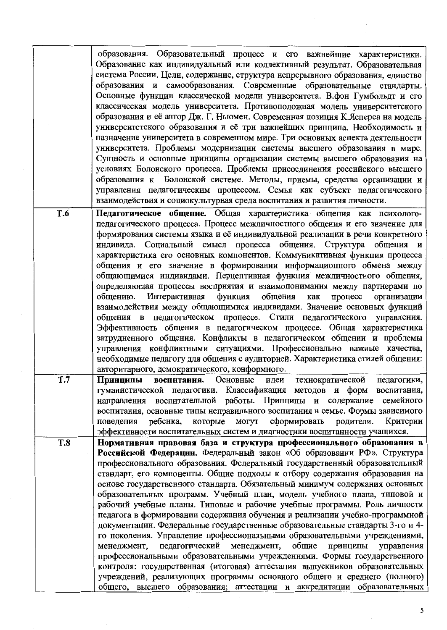образования. Образовательный процесс и его важнейшие характеристики. Образование как индивидуальный или коллективный результат. Образовательная система России. Цели, содержание, структура непрерывного образования, единство образования и самообразования. Современные образовательные стандарты. Основные функции классической модели университета. В.фон Гумбольдт и его классическая модель университета. Противоположная модель университетского образования и её автор Дж. Г. Ньюмен. Современная позиция К. Ясперса на модель университетского образования и её три важнейших принципа. Необходимость и назначение университета в современном мире. Три основных аспекта деятельности университета. Проблемы модернизации системы высшего образования в мире. Сущность и основные принципы организации системы высшего образования на условиях Болонского процесса. Проблемы присоединения российского высшего образования к Болонской системе. Методы, приемы, средства организации и управления педагогическим процессом. Семья как субъект педагогического взаимодействия и социокультурная среда воспитания и развития личности.

Педагогическое общение. Общая характеристика общения как психолого-T.6 педагогического процесса. Процесс межличностного общения и его значение для формирования системы языка и её индивидуальной реализации в речи конкретного индивида. Социальный смысл процесса общения. Структура общения и характеристика его основных компонентов. Коммуникативная функция процесса общения и его значение в формировании информационного обмена между общающимися индивидами. Перцептивная функция межличностного общения, определяющая процессы восприятия и взаимопонимания между партнерами по организации Интерактивная функция общения как процесс общению. взаимодействия между общающимися индивидами. Значение основных функций общения в педагогическом процессе. Стили педагогического управления. Эффективность общения в педагогическом процессе. Общая характеристика затрудненного общения. Конфликты в педагогическом общении и проблемы управления конфликтными ситуациями. Профессионально важные качества, необходимые педагогу для общения с аудиторией. Характеристика стилей общения: авторитарного, демократического, конформного.

- Принципы воспитания. Основные технократической T.7 идеи педагогики, гуманистической педагогики. Классификация методов и форм воспитания, направления воспитательной работы. Принципы и содержание семейного воспитания, основные типы неправильного воспитания в семье. Формы зависимого которые могут сформировать родители. Критерии поведения ребенка, эффективности воспитательных систем и диагностики воспитанности учащихся.
- Нормативная правовая база и структура профессионального образования в **T.8** Российской Федерации. Федеральный закон «Об образовании РФ». Структура профессионального образования. Федеральный государственный образовательный стандарт, его компоненты. Общие подходы к отбору содержания образования на основе государственного стандарта. Обязательный минимум содержания основных образовательных программ. Учебный план, модель учебного плана, типовой и рабочий учебные планы. Типовые и рабочие учебные программы. Роль личности педагога в формировании содержания обучения и реализации учебно-программной документации. Федеральные государственные образовательные стандарты 3-го и 4го поколения. Управление профессиональными образовательными учреждениями, менеджмент, педагогический менеджмент, общие принципы управления профессиональными образовательными учреждениями. Формы государственного контроля: государственная (итоговая) аттестация выпускников образовательных учреждений, реализующих программы основного общего и среднего (полного) общего, высшего образования; аттестации и аккредитации образовательных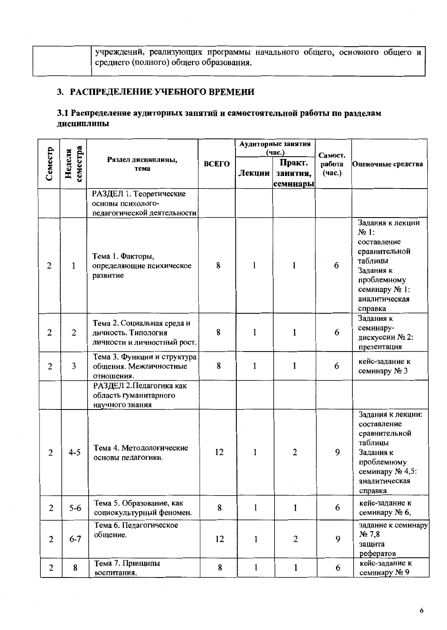учреждений, реализующих программы начального общего, основного общего и среднего (полного) общего образования.

# 3. РАСПРЕДЕЛЕНИЕ УЧЕБНОГО ВРЕМЕНИ

## 3.1 Распределение аудиторных занятий и самостоятельной работы по разделам дисциплины

|                |                    |                                                                                  | Аудиторные занятия<br>(час.) |              |                                |                             |                                                                                                                                                 |
|----------------|--------------------|----------------------------------------------------------------------------------|------------------------------|--------------|--------------------------------|-----------------------------|-------------------------------------------------------------------------------------------------------------------------------------------------|
| Семестр        | семестра<br>Неделя | Раздел дисциплины,<br>тема                                                       | <b>ВСЕГО</b>                 | Лекции       | Практ.<br>занятия,<br>семинары | Самост.<br>работа<br>(час.) | Оценочные средства                                                                                                                              |
|                |                    | РАЗДЕЛ 1. Теоретические<br>основы психолого-<br>педагогической деятельности      |                              |              |                                |                             |                                                                                                                                                 |
| $\overline{2}$ | $\mathbf{1}$       | Тема 1. Факторы,<br>определяющие психическое<br>развитие                         | 8                            | 1            | 1                              | 6                           | Задания к лекции<br>$N2$ 1:<br>составление<br>сравнительной<br>таблицы<br>Задания к<br>проблемному<br>семинару № 1:<br>аналитическая<br>справка |
| $\overline{2}$ | $\overline{2}$     | Тема 2. Социальная среда и<br>личность. Типология<br>личности и личностный рост. | 8                            | 1            | $\mathbf{1}$                   | 6                           | Задания к<br>семинару-<br>дискуссии № 2:<br>презентация                                                                                         |
| $\overline{2}$ | $\overline{3}$     | Тема 3. Функции и структура<br>общения. Межличностные<br>отношения.              | 8                            | 1            | $\mathbf{1}$                   | 6                           | кейс-задание к<br>семинару № 3                                                                                                                  |
|                |                    | РАЗДЕЛ 2. Педагогика как<br>область гуманитарного<br>научного знания             |                              |              |                                |                             |                                                                                                                                                 |
| $\mathbf{2}$   | $4 - 5$            | Тема 4. Методологические<br>основы педагогики.                                   | 12                           | 1            | $\overline{2}$                 | 9                           | Задания к лекции:<br>составление<br>сравнительной<br>таблицы<br>Задания к<br>проблемному<br>семинару № 4,5:<br>аналитическая<br>справка         |
| $\overline{2}$ | $5-6$              | Тема 5. Образование, как<br>социокультурный феномен.                             | 8                            | $\mathbf{1}$ | $\mathbf{1}$                   | 6                           | кейс-задание к<br>семинару № 6,                                                                                                                 |
| $\overline{2}$ | $6 - 7$            | Тема 6. Педагогическое<br>общение.                                               | 12                           | $\mathbf{1}$ | $\overline{2}$                 | 9                           | задание к семинару<br>$N2$ 7,8<br>защита<br>рефератов                                                                                           |
| $\overline{2}$ | 8                  | Тема 7. Принципы<br>воспитания.                                                  | 8                            | $\mathbf{1}$ | $\mathbf{1}$                   | 6                           | кейс-задание к<br>семинару № 9                                                                                                                  |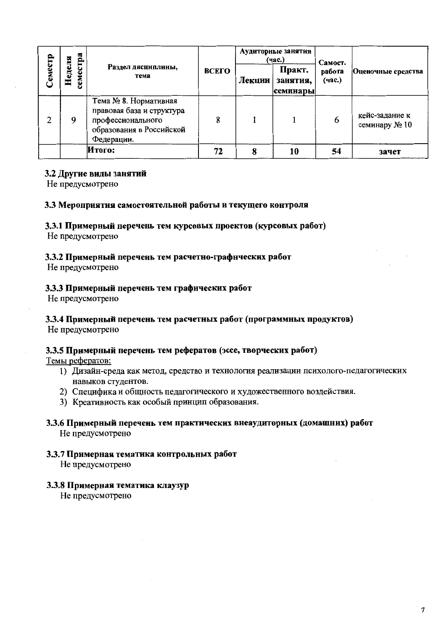|         | $c$ тра        |                                                                                                                   |       |        | Аудиторные занятия<br>(час.)   | Самост.          |                                 |  |
|---------|----------------|-------------------------------------------------------------------------------------------------------------------|-------|--------|--------------------------------|------------------|---------------------------------|--|
| Семестр | Геделя<br>семе | Раздел дисциплины,<br>тема                                                                                        | ВСЕГО | Лекции | Практ.<br>занятия,<br>семинары | работа<br>(час.) | Оценочные средства              |  |
| っ       | 9              | Тема № 8. Нормативная<br>правовая база и структура<br>профессионального<br>образования в Российской<br>Федерации. | 8     |        |                                | 6                | кейс-задание к<br>семинару № 10 |  |
|         |                | Итого:                                                                                                            | 72    | 8      | 10                             | 54               | зачет                           |  |

#### 3.2 Другие виды занятий

Не предусмотрено

#### 3.3 Мероприятия самостоятельной работы и текущего контроля

#### 3.3.1 Примерный перечень тем курсовых проектов (курсовых работ)

Не предусмотрено

### 3.3.2 Примерный перечень тем расчетно-графических работ

Не предусмотрено

### 3.3.3 Примерный перечень тем графических работ

Не предусмотрено

## 3.3.4 Примерный перечень тем расчетных работ (программных продуктов)

Не предусмотрено

#### 3.3.5 Примерный перечень тем рефератов (эссе, творческих работ)

Темы рефератов:

- 1) Дизайн-среда как метод, средство и технология реализации психолого-педагогических навыков студентов.
- 2) Специфика и общность педагогического и художественного воздействия.
- 3) Креативность как особый принцип образования.

### 3.3.6 Примерный перечень тем практических внеаудиторных (домашних) работ Не предусмотрено

3.3.7 Примерная тематика контрольных работ Не предусмотрено

#### 3.3.8 Примерная тематика клаузур

Не предусмотрено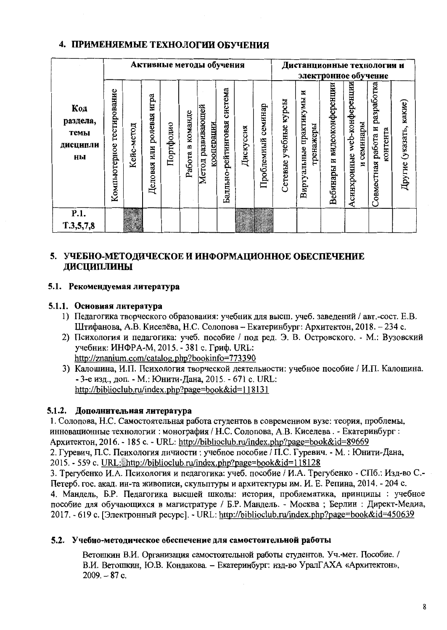## 4. ПРИМЕНЯЕМЫЕ ТЕХНОЛОГИИ ОБУЧЕНИЯ

|                                           |                              |            |                                   |           |                        | Активные методы обучения        |                                |           |                       |                          | Дистанционные технологии и                  |                                | электронное обучение                            |                                               |                               |
|-------------------------------------------|------------------------------|------------|-----------------------------------|-----------|------------------------|---------------------------------|--------------------------------|-----------|-----------------------|--------------------------|---------------------------------------------|--------------------------------|-------------------------------------------------|-----------------------------------------------|-------------------------------|
| Код<br>раздела,<br>темы<br>дисципли<br>ны | тестирование<br>Компьютерное | Кейс-метод | игра<br>ролевая<br>ИЛИ<br>Деловая | Портфолио | команде<br>m<br>Работа | Метод развивающей<br>кооперации | система<br>Балльно-рейтинговая | Дискуссия | семинар<br>Проблемный | курсы<br>Сетевые учебные | N<br>практикумы<br>гренажеры<br>Виртуальные | и видеоконференции<br>Вебинары | web-конференции<br>семинары<br>Асинхронные<br>И | разработка<br>Совместная работа и<br>контента | какие)<br>(указать,<br>Другие |
| P.1.<br>T.3,5,7,8                         |                              |            |                                   |           |                        |                                 |                                |           |                       |                          |                                             |                                |                                                 |                                               |                               |

## 5. УЧЕБНО-МЕТОДИЧЕСКОЕ И ИНФОРМАЦИОННОЕ ОБЕСПЕЧЕНИЕ **ДИСЦИПЛИНЫ**

### 5.1. Рекомендуемая литература

### 5.1.1. Основная литература

- 1) Педагогика творческого образования: учебник для высш. учеб. заведений / авт.-сост. Е.В. Штифанова, А.В. Киселёва, Н.С. Солопова - Екатеринбург: Архитектон, 2018. - 234 с.
- 2) Психология и педагогика: учеб. пособие / под ред. Э. В. Островского. М.: Вузовский учебник: ИНФРА-М, 2015. - 381 с. Гриф. URL: http://znanium.com/catalog.php?bookinfo=773390
- 3) Калошина, И.П. Психология творческой деятельности: учебное пособие / И.П. Калошина. - 3-е изд., доп. - М.: Юнити-Дана, 2015. - 671 с. URL: http://biblioclub.ru/index.php?page=book&id=118131

## 5.1.2. Дополнительная литература

1. Солопова, Н.С. Самостоятельная работа студентов в современном вузе: теория, проблемы, инновационные технологии: монография / Н.С. Солопова, А.В. Киселева. - Екатеринбург: Архитектон, 2016. - 185 с. - URL: http://biblioclub.ru/index.php?page=book&id=89669 2. Гуревич, П.С. Психология личности: учебное пособие / П.С. Гуревич. - М.: Юнити-Дана, 2015. - 559 c. URL: http://biblioclub.ru/index.php?page=book&id=118128

3. Трегубенко И.А. Психология и педагогика: учеб. пособие / И.А. Трегубенко - СПб.: Изд-во С.-Петерб. гос. акад. ин-та живописи, скульптуры и архитектуры им. И. Е. Репина, 2014. - 204 с. 4. Мандель, Б.Р. Педагогика высшей школы: история, проблематика, принципы : учебное пособие для обучающихся в магистратуре / Б.Р. Мандель. - Москва; Берлин: Директ-Медиа, 2017. - 619 с. [Электронный ресурс]. - URL: http://biblioclub.ru/index.php?page=book&id=450639

## 5.2. Учебно-методическое обеспечение для самостоятельной работы

Ветошкин В.И. Организация самостоятельной работы студентов. Уч.-мет. Пособие. / В.И. Ветошкин, Ю.В. Кондакова. - Екатеринбург: изд-во УралГАХА «Архитектон»,  $2009. - 87$  c.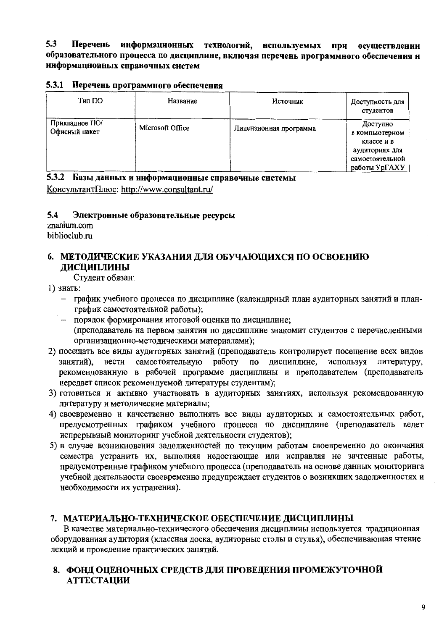$5.3$ Перечень информационных технологий, нспользуемых при осушествлении образовательного процесса по дисциплине, включая перечень программного обеспечения н информационных справочных систем

|  | 5.3.1 Перечень программного обеспечения |  |
|--|-----------------------------------------|--|
|  |                                         |  |

| Тип ПО                          | Название         | Источник               | Доступность для<br>студентов                                                                   |
|---------------------------------|------------------|------------------------|------------------------------------------------------------------------------------------------|
| Прикладное ПО/<br>Офисный пакет | Microsoft Office | Лицензионная программа | Доступно<br>в компьютерном<br>классе и в<br>аудиториях для<br>самостоятельной<br>работы УрГАХУ |

#### 5.3.2 Базы данных и ннформационные справочные системы

КонсультантПлюс: http://www.consultant.ru/

#### $5.4$ Электронные образовательные ресурсы

znanium.com biblioclub.ru

## 6. МЕТОДИЧЕСКИЕ УКАЗАНИЯ ДЛЯ ОБУЧАЮШИХСЯ ПО ОСВОЕНИЮ ЛИСЦИПЛИНЫ

Студент обязан:

- 1) знать:
	- график учебного процесса по дисциплине (календарный план аудиторных занятий и планграфик самостоятельной работы);
	- порядок формирования итоговой оценки по дисциплине; (преподаватель на первом занятии по дисциплине знакомит студентов с перечисленными организационно-методическими материалами);
- 2) посещать все виды аудиторных занятий (преподаватель контролирует посещение всех видов вести самостоятельную работу по дисциплине, используя литературу, занятий). рекомендованную в рабочей программе дисциплины и преподавателем (преподаватель передает список рекомендуемой литературы студентам);
- 3) готовиться и активно участвовать в аудиторных занятиях, используя рекомендованную литературу и методические материалы;
- 4) своевременно и качественно выполнять все виды аудиторных и самостоятельных работ, предусмотренных графиком учебного процесса по дисциплине (преподаватель ведет непрерывный мониторинг учебной деятельности студентов);
- 5) в случае возникновения задолженностей по текущим работам своевременно до окончания семестра устранить их, выполняя недостающие или исправляя не зачтенные работы, предусмотренные графиком учебного процесса (преподаватель на основе данных мониторинга учебной деятельности своевременно предупреждает студентов о возникших задолженностях и необходимости их устранения).

## 7. МАТЕРИАЛЬНО-ТЕХНИЧЕСКОЕ ОБЕСПЕЧЕНИЕ ДИСЦИПЛИНЫ

В качестве материально-технического обеспечения дисциплины используется традиционная оборудованная аудитория (классная доска, аудиторные столы и стулья), обеспечивающая чтение лекций и проведение практических занятий.

## 8. ФОНД ОЦЕНОЧНЫХ СРЕДСТВ ДЛЯ ПРОВЕДЕНИЯ ПРОМЕЖУТОЧНОЙ **АТТЕСТАЦИИ**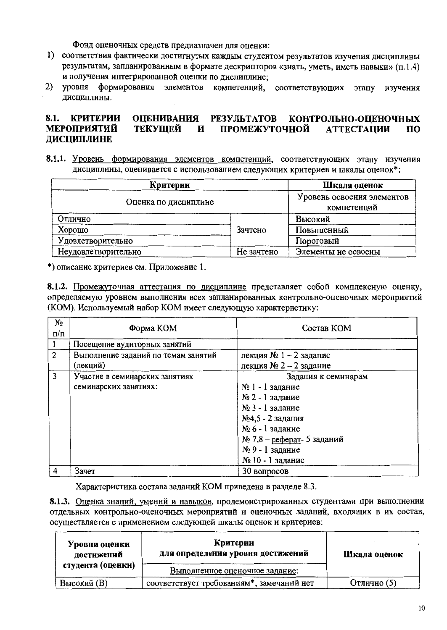Фонд оценочных средств предназначен для оценки:

- 1) соответствия фактически достигнутых каждым студентом результатов изучения дисциплины результатам, запланированным в формате дескрипторов «знать, уметь, иметь навыки» (п.1.4) и получения интегрированной оценки по дисциплине;
- $2)$  уровня формирования элементов компетенций, соответствующих этапу изучения лисциплины.

#### **КРИТЕРИИ**  $8.1.$ **ОЦЕНИВАНИЯ РЕЗУЛЬТАТОВ** КОНТРОЛЬНО-ОПЕНОЧНЫХ **МЕРОПРИЯТИЙ ТЕКУЩЕЙ** И ПРОМЕЖУТОЧНОЙ **АТТЕСТАЦИИ**  $\overline{10}$ ДИСЦИПЛИНЕ

8.1.1. Уровень формирования элементов компетенций, соответствующих этапу изучения дисциплины, оценивается с использованием следующих критериев и шкалы оценок\*:

| Критерии             | Шкала оценок                              |                     |  |
|----------------------|-------------------------------------------|---------------------|--|
| Оценка по дисциплине | Уровень освоения элементов<br>компетенций |                     |  |
| Отлично              |                                           | Высокий             |  |
| Хорошо               | Зачтено                                   | Повышенный          |  |
| Удовлетворительно    | Пороговый                                 |                     |  |
| Неудовлетворительно  | Не зачтено                                | Элементы не освоены |  |

\*) описание критериев см. Приложение 1.

8.1.2. Промежуточная аттестация по дисциплине представляет собой комплексную оценку, определяемую уровнем выполнения всех запланированных контрольно-оценочных мероприятий (КОМ). Используемый набор КОМ имеет следующую характеристику:

| No<br>$\Pi/\Pi$ | Форма КОМ                           | Состав КОМ                    |  |  |  |  |
|-----------------|-------------------------------------|-------------------------------|--|--|--|--|
|                 | Посещение аудиторных занятий        |                               |  |  |  |  |
| $\overline{2}$  | Выполнение заданий по темам занятий | лекция № 1 - 2 задание        |  |  |  |  |
|                 | (лекций)                            | лекция № 2 – 2 задание        |  |  |  |  |
| 3               | Участие в семинарских занятиях      | Задания к семинарам           |  |  |  |  |
|                 | семинарских занятиях:               | № 1 - 1 задание               |  |  |  |  |
|                 |                                     | № 2 - 1 задание               |  |  |  |  |
|                 |                                     | № 3 - 1 задание               |  |  |  |  |
|                 |                                     | №4,5 - 2 задания              |  |  |  |  |
|                 |                                     | № 6 - 1 задание               |  |  |  |  |
|                 |                                     | $Ne 7,8 - pe$ ферат-5 заданий |  |  |  |  |
|                 |                                     | № 9 - 1 задание               |  |  |  |  |
|                 |                                     | № 10 - 1 задание              |  |  |  |  |
| 4               | Зачет                               | 30 вопросов                   |  |  |  |  |

Характеристика состава заданий КОМ приведена в разделе 8.3.

8.1.3. Оценка знаний, умений и навыков, продемонстрированных студентами при выполнении отдельных контрольно-оценочных мероприятий и оценочных заданий, входящих в их состав, осуществляется с применением следующей шкалы оценок и критериев:

| Уровни оценки<br>достижений | Критерии<br>для определения уровня достижений | Шкала оценок |
|-----------------------------|-----------------------------------------------|--------------|
| студента (оценки)           | Выполненное оценочное задание:                |              |
| Высокий (В)                 | соответствует требованиям*, замечаний нет     | Отлично (5)  |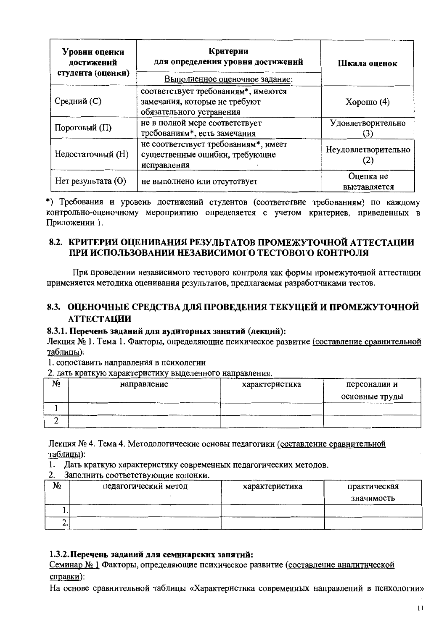| Уровни оценки<br>достиженнй<br>студента (оценки) | Критерии<br>для определения уровня достижений<br>Выполненное оценочное задание:                  | Шкала оценок              |  |
|--------------------------------------------------|--------------------------------------------------------------------------------------------------|---------------------------|--|
| Средний (С)                                      | соответствует требованиям*, имеются<br>замечания, которые не требуют<br>обязательного устранения | Хорошо $(4)$              |  |
| Пороговый (П)                                    | не в полной мере соответствует<br>требованиям*, есть замечания                                   | Удовлетворительно         |  |
| Недостаточный (Н)                                | не соответствует требованиям*, имеет<br>существенные ошибки, требующие<br>исправления            | Неудовлетворительно       |  |
| $Her$ результата $(O)$                           | не выполнено или отсутствует                                                                     | Оценка не<br>выставляется |  |

\*) Требования и уровень достижений студентов (соответствие требованиям) по каждому контрольно-оценочному мероприятию определяется с учетом критериев, приведенных в Приложении 1.

## 8.2. КРИТЕРИИ ОЦЕНИВАНИЯ РЕЗУЛЬТАТОВ ПРОМЕЖУТОЧНОЙ АТТЕСТАЦИИ ПРИ ИСПОЛЬЗОВАНИИ НЕЗАВИСИМОГО ТЕСТОВОГО КОНТРОЛЯ

При проведении независимого тестового контроля как формы промежуточной аттестации применяется методика оценивания результатов, предлагаемая разработчиками тестов.

## 8.3. ОЦЕНОЧНЫЕ СРЕДСТВА ДЛЯ ПРОВЕДЕНИЯ ТЕКУЩЕЙ И ПРОМЕЖУТОЧНОЙ **АТТЕСТАЦИИ**

## 8.3.1. Перечень заданий для аудиторных занятий (лекций):

Лекция № 1. Тема 1. Факторы, определяющие психическое развитие (составление сравнительной таблицы):

1. сопоставить направления в психологии

2. дать краткую характеристику выделенного направления.

| N٥ | направление | характеристика | персоналии и   |
|----|-------------|----------------|----------------|
|    |             |                | основные труды |
|    |             |                |                |
| ∠  |             |                |                |

Лекция № 4. Тема 4. Методологические основы педагогики (составление сравнительной таблицы):

1. Дать краткую характеристику современных педагогических методов.

2. Заполнить соответствующие колонки.

| N٥       | педагогический метод | характеристика | практическая<br>значимость |
|----------|----------------------|----------------|----------------------------|
|          |                      |                |                            |
| <u>.</u> |                      |                |                            |

## 1.3.2. Перечень заданий для семинарских занятий:

Семинар № 1 Факторы, определяющие психическое развитие (составление аналитической справки):

На основе сравнительной таблицы «Характеристика современных направлений в психологии»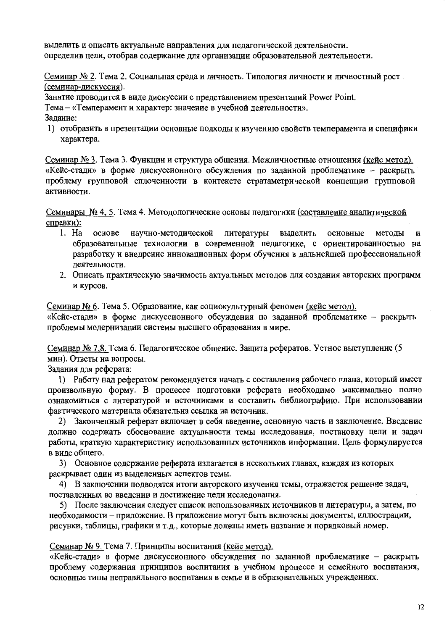выделить и описать актуальные направления для педагогической деятельности. определив цели, отобрав содержание для организации образовательной деятельности.

Семинар № 2. Тема 2. Социальная среда и личность. Типология личности и личностный рост (семинар-дискуссия).

Занятие проводится в виде дискуссии с представлением презентаций Power Point. Тема - «Темперамент и характер: значение в учебной деятельности». Залание:

1) отобразить в презентации основные подходы к изучению свойств темперамента и специфики характера.

Семинар № 3. Тема 3. Функции и структура общения. Межличностные отношения (кейс метод). «Кейс-стади» в форме дискуссионного обсуждения по заданной проблематике - раскрыть проблему групповой сплоченности в контексте стратаметрической концепции групповой активности.

Семинары № 4, 5. Тема 4. Методологические основы педагогики (составление аналитической справки):

- $1. Ha$ научно-методической литературы основе выделить основные метолы И образовательные технологии в современной педагогике, с ориентированностью на разработку и внедрение инновационных форм обучения в дальнейшей профессиональной леятельности.
- 2. Описать практическую значимость актуальных методов для создания авторских программ и курсов.

Семинар № 6. Тема 5. Образование, как социокультурный феномен (кейс метод).

«Кейс-стади» в форме дискуссионного обсуждения по заданной проблематике - раскрыть проблемы модернизации системы высшего образования в мире.

Семинар № 7,8. Тема 6. Педагогическое общение. Защита рефератов. Устное выступление (5 мин). Ответы на вопросы.

Задания для реферата:

1) Работу над рефератом рекомендуется начать с составления рабочего плана, который имеет произвольную форму. В процессе подготовки реферата необходимо максимально полно ознакомиться с литературой и источниками и составить библиографию. При использовании фактического материала обязательна ссылка на источник.

2) Законченный реферат включает в себя введение, основную часть и заключение. Введение должно содержать обоснование актуальности темы исследования, постановку цели и задач работы, краткую характеристику использованных источников информации. Цель формулируется в виде общего.

3) Основное содержание реферата излагается в нескольких главах, каждая из которых раскрывает один из выделенных аспектов темы.

4) В заключении подводятся итоги авторского изучения темы, отражается решение задач, поставленных во введении и достижение цели исследования.

5) После заключения следует список использованных источников и литературы, а затем, по необходимости - приложение. В приложение могут быть включены документы, иллюстрации, рисунки, таблицы, графики и т.д., которые должны иметь название и порядковый номер.

Семинар № 9. Тема 7. Принципы воспитания (кейс метод).

«Кейс-стали» в форме дискуссионного обсуждения по заданной проблематике - раскрыть проблему содержания принципов воспитания в учебном процессе и семейного воспитания, основные типы неправильного воспитания в семье и в образовательных учреждениях.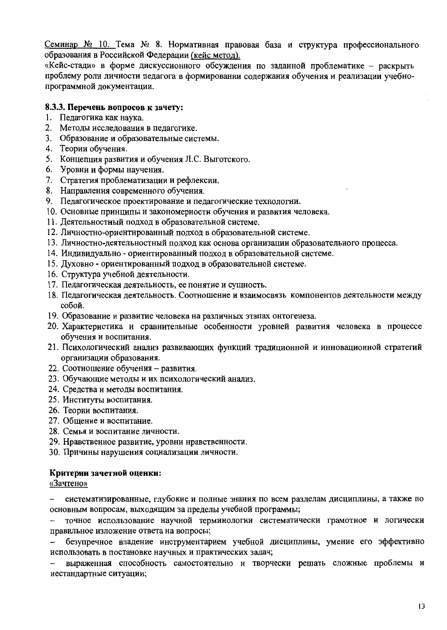Семинар № 10. Тема № 8. Нормативная правовая база и структура профессионального образования в Российской Федерации (кейс метод).

«Кейс-стади» в форме дискуссионного обсуждения по заданной проблематике - раскрыть проблему роли личности педагога в формировании содержания обучения и реализации учебнопрограммной документации.

#### 8.3.3. Перечень вопросов к зачету:

- 1. Педагогика как наука.
- 2. Методы исследования в педагогике.
- 3. Образование и образовательные системы.
- 4. Теории обучения.
- 5. Концепция развития и обучения Л.С. Выготского.
- 6. Уровни и формы научения.
- 7. Стратегия проблематизации и рефлексии.
- 8. Направления современного обучения.
- 9. Педагогическое проектирование и педагогические технологии.
- 10. Основные принципы и закономерности обучения и развития человека.
- 11. Деятельностный подход в образовательной системе.
- 12. Личностно-ориентированный подход в образовательной системе.
- 13. Личностно-деятельностный подход как основа организации образовательного процесса.
- 14. Индивидуально ориентированный подход в образовательной системе.
- 15. Духовно ориентированный подход в образовательной системе.
- 16. Структура учебной деятельности.
- 17. Педагогическая деятельность, ее понятие и сущность.
- 18. Педагогическая деятельность. Соотношение и взаимосвязь компонентов деятельности между собой.
- 19. Образование и развитие человека на различных этапах онтогенеза.
- 20. Характеристика и сравнительные особенности уровней развития человека в процессе обучения и воспитания.
- 21. Психологический анализ развивающих функций традиционной и инновационной стратегий организации образования.
- 22. Соотношение обучения развития.
- 23. Обучающие методы и их психологический анализ.
- 24. Средства и методы воспитания.
- 25. Институты воспитания.
- 26. Теории воспитания.
- 27. Общение и воспитание.
- 28. Семья и воспитание личности.
- 29. Нравственное развитие, уровни нравственности.
- 30. Причины нарушения социализации личности.

#### Критерии зачетной оценки:

#### «Зачтено»

систематизированные, глубокие и полные знания по всем разделам дисциплины, а также по основным вопросам, выходящим за пределы учебной программы;

точное использование научной терминологии систематически грамотное и логически правильное изложение ответа на вопросы;

безупречное владение инструментарием учебной дисциплины, умение его эффективно использовать в постановке научных и практических задач;

выраженная способность самостоятельно и творчески решать сложные проблемы и нестандартные ситуации;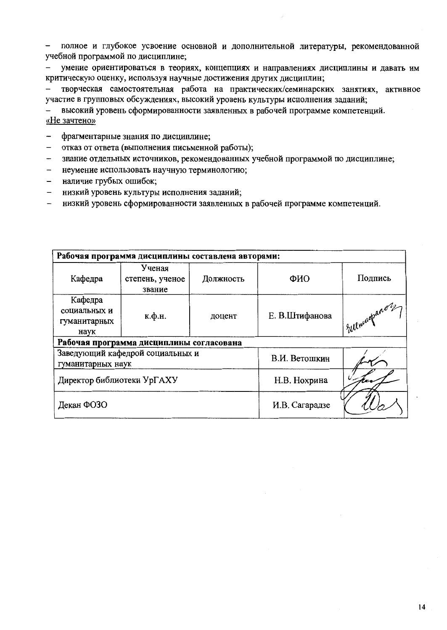полное и глубокое усвоение основной и дополнительной литературы, рекомендованной  $\,$ учебной программой по дисциплине;

умение ориентироваться в теориях, концепциях и направлениях дисциплины и давать им критическую оценку, используя научные достижения других дисциплин;

творческая самостоятельная работа на практических/семинарских занятиях, активное участие в групповых обсуждениях, высокий уровень культуры исполнения заданий;

высокий уровень сформированности заявленных в рабочей программе компетенций. «Не зачтено»

- фрагментарные знания по дисциплине;  $\overline{\phantom{a}}$
- отказ от ответа (выполнения письменной работы);
- знание отдельных источников, рекомендованных учебной программой по дисциплине;  $\overline{a}$
- неумение использовать научную терминологию;  $\rightarrow$
- наличие грубых ошибок;
- низкий уровень культуры исполнения заданий;  $\equiv$
- низкий уровень сформированности заявленных в рабочей программе компетенций.  $\frac{1}{2}$

| Рабочая программа дисциплины составлена авторами:     |                                     |                |                |               |
|-------------------------------------------------------|-------------------------------------|----------------|----------------|---------------|
| Кафедра                                               | Ученая<br>степень, ученое<br>звание | Должность      | ФИО            | Подпись       |
| Кафедра<br>социальных и<br>гуманитарных<br>наук       | к.ф.н.                              | доцент         | Е. В.Штифанова | Sullmudpano2, |
| Рабочая программа дисциплины согласована              |                                     |                |                |               |
| Заведующий кафедрой социальных и<br>гуманитарных наук |                                     | В.И. Ветошкин  |                |               |
| Директор библиотеки УрГАХУ                            |                                     | Н.В. Нохрина   |                |               |
| Декан ФОЗО                                            |                                     | И.В. Сагарадзе |                |               |